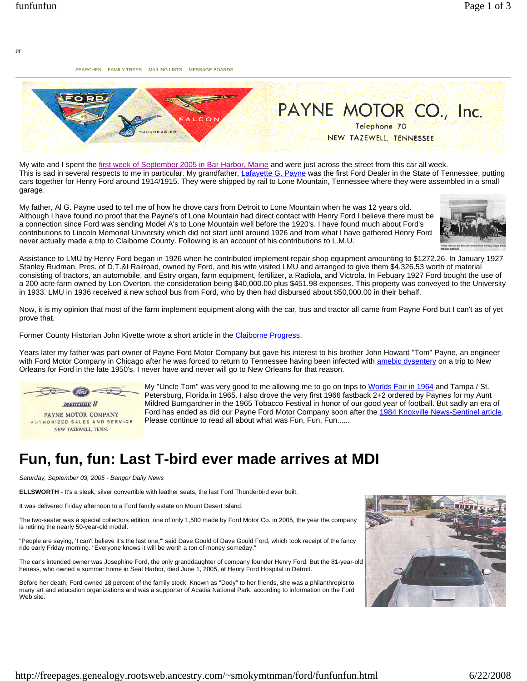er

SEARCHES FAMILY TREES MAILING LISTS MESSAGE BOARDS



My wife and I spent the first week of September 2005 in Bar Harbor, Maine and were just across the street from this car all week. This is sad in several respects to me in particular. My grandfather, Lafayette G. Payne was the first Ford Dealer in the State of Tennessee, putting cars together for Henry Ford around 1914/1915. They were shipped by rail to Lone Mountain, Tennessee where they were assembled in a small garage.

My father, Al G. Payne used to tell me of how he drove cars from Detroit to Lone Mountain when he was 12 years old. Although I have found no proof that the Payne's of Lone Mountain had direct contact with Henry Ford I believe there must be a connection since Ford was sending Model A's to Lone Mountain well before the 1920's. I have found much about Ford's contributions to Lincoln Memorial University which did not start until around 1926 and from what I have gathered Henry Ford never actually made a trip to Claiborne County. Following is an account of his contributions to L.M.U.



Assistance to LMU by Henry Ford began in 1926 when he contributed implement repair shop equipment amounting to \$1272.26. In January 1927 Stanley Rudman, Pres. of D.T.&I Railroad, owned by Ford, and his wife visited LMU and arranged to give them \$4,326.53 worth of material consisting of tractors, an automobile, and Estry organ, farm equipment, fertilizer, a Radiola, and Victrola. In Febuary 1927 Ford bought the use of a 200 acre farm owned by Lon Overton, the consideration being \$40,000.00 plus \$451.98 expenses. This property was conveyed to the University in 1933. LMU in 1936 received a new school bus from Ford, who by then had disbursed about \$50,000.00 in their behalf.

Now, it is my opinion that most of the farm implement equipment along with the car, bus and tractor all came from Payne Ford but I can't as of yet prove that.

Former County Historian John Kivette wrote a short article in the Claiborne Progress.

Years later my father was part owner of Payne Ford Motor Company but gave his interest to his brother John Howard "Tom" Payne, an engineer with Ford Motor Company in Chicago after he was forced to return to Tennessee having been infected with amebic dysentery on a trip to New Orleans for Ford in the late 1950's. I never have and never will go to New Orleans for that reason.



My "Uncle Tom" was very good to me allowing me to go on trips to Worlds Fair in 1964 and Tampa / St. Petersburg, Florida in 1965. I also drove the very first 1966 fastback 2+2 ordered by Paynes for my Aunt Mildred Bumgardner in the 1965 Tobacco Festival in honor of our good year of football. But sadly an era of Ford has ended as did our Payne Ford Motor Company soon after the 1984 Knoxville News-Sentinel article. Please continue to read all about what was Fun, Fun, Fun......

## **Fun, fun, fun: Last T-bird ever made arrives at MDI**

*Saturday, September 03, 2005 - Bangor Daily News*

**ELLSWORTH** - It's a sleek, silver convertible with leather seats, the last Ford Thunderbird ever built.

It was delivered Friday afternoon to a Ford family estate on Mount Desert Island.

The two-seater was a special collectors edition, one of only 1,500 made by Ford Motor Co. in 2005, the year the company is retiring the nearly 50-year-old model.

"People are saying, 'I can't believe it's the last one," said Dave Gould of Dave Gould Ford, which took receipt of the fancy ride early Friday morning. "Everyone knows it will be worth a ton of money someday."

The car's intended owner was Josephine Ford, the only granddaughter of company founder Henry Ford. But the 81-year-old heiress, who owned a summer home in Seal Harbor, died June 1, 2005, at Henry Ford Hospital in Detroit.

Before her death, Ford owned 18 percent of the family stock. Known as "Dody" to her friends, she was a philanthropist to many art and education organizations and was a supporter of Acadia National Park, according to information on the Ford Web site.

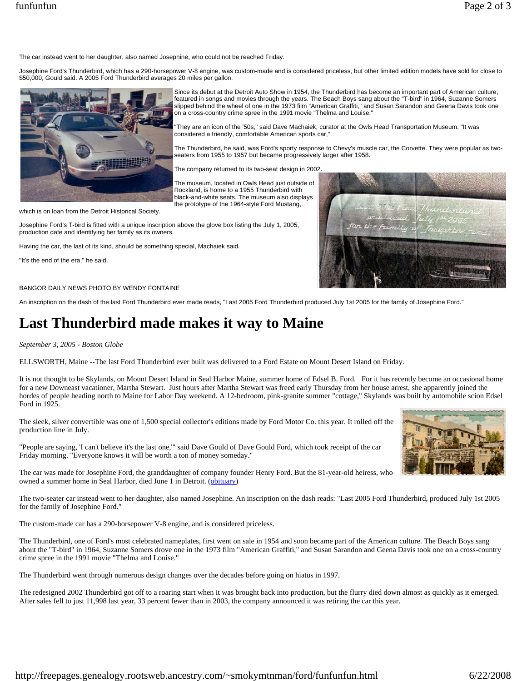The car instead went to her daughter, also named Josephine, who could not be reached Friday.

Josephine Ford's Thunderbird, which has a 290-horsepower V-8 engine, was custom-made and is considered priceless, but other limited edition models have sold for close to \$50,000, Gould said. A 2005 Ford Thunderbird averages 20 miles per gallon.



Since its debut at the Detroit Auto Show in 1954, the Thunderbird has become an important part of American culture, featured in songs and movies through the years. The Beach Boys sang about the "T-bird" in 1964, Suzanne Somers slipped behind the wheel of one in the 1973 film "American Graffiti," and Susan Sarandon and Geena Davis took one on a cross-country crime spree in the 1991 movie "Thelma and Louise."

"They are an icon of the '50s," said Dave Machaiek, curator at the Owls Head Transportation Museum. "It was considered a friendly, comfortable American sports car,"

The Thunderbird, he said, was Ford's sporty response to Chevy's muscle car, the Corvette. They were popular as twoseaters from 1955 to 1957 but became progressively larger after 1958.

The company returned to its two-seat design in 2002.

The museum, located in Owls Head just outside of Rockland, is home to a 1955 Thunderbird with black-and-white seats. The museum also displays the prototype of the 1964-style Ford Mustang,

which is on loan from the Detroit Historical Society.

Josephine Ford's T-bird is fitted with a unique inscription above the glove box listing the July 1, 2005, production date and identifying her family as its owners.

Having the car, the last of its kind, should be something special, Machaiek said.

"It's the end of the era," he said.

## BANGOR DAILY NEWS PHOTO BY WENDY FONTAINE

An inscription on the dash of the last Ford Thunderbird ever made reads, "Last 2005 Ford Thunderbird produced July 1st 2005 for the family of Josephine Ford."

## **Last Thunderbird made makes it way to Maine**

*September 3, 2005 - Boston Globe*

ELLSWORTH, Maine --The last Ford Thunderbird ever built was delivered to a Ford Estate on Mount Desert Island on Friday.

It is not thought to be Skylands, on Mount Desert Island in Seal Harbor Maine, summer home of Edsel B. Ford. For it has recently become an occasional home for a new Downeast vacationer, Martha Stewart. Just hours after Martha Stewart was freed early Thursday from her house arrest, she apparently joined the hordes of people heading north to Maine for Labor Day weekend. A 12-bedroom, pink-granite summer "cottage," Skylands was built by automobile scion Edsel Ford in 1925.

The sleek, silver convertible was one of 1,500 special collector's editions made by Ford Motor Co. this year. It rolled off the production line in July.

"People are saying, 'I can't believe it's the last one,'" said Dave Gould of Dave Gould Ford, which took receipt of the car Friday morning. "Everyone knows it will be worth a ton of money someday."

The car was made for Josephine Ford, the granddaughter of company founder Henry Ford. But the 81-year-old heiress, who owned a summer home in Seal Harbor, died June 1 in Detroit. (obituary)

The two-seater car instead went to her daughter, also named Josephine. An inscription on the dash reads: "Last 2005 Ford Thunderbird, produced July 1st 2005 for the family of Josephine Ford."

The custom-made car has a 290-horsepower V-8 engine, and is considered priceless.

The Thunderbird, one of Ford's most celebrated nameplates, first went on sale in 1954 and soon became part of the American culture. The Beach Boys sang about the "T-bird" in 1964, Suzanne Somers drove one in the 1973 film "American Graffiti," and Susan Sarandon and Geena Davis took one on a cross-country crime spree in the 1991 movie "Thelma and Louise."

The Thunderbird went through numerous design changes over the decades before going on hiatus in 1997.

The redesigned 2002 Thunderbird got off to a roaring start when it was brought back into production, but the flurry died down almost as quickly as it emerged. After sales fell to just 11,998 last year, 33 percent fewer than in 2003, the company announced it was retiring the car this year.